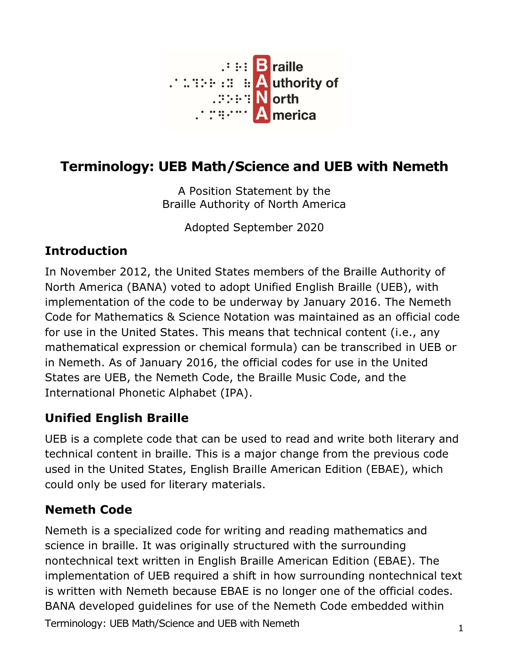

# **Terminology: UEB Math/Science and UEB with Nemeth**

A Position Statement by the Braille Authority of North America

Adopted September 2020

# **Introduction**

In November 2012, the United States members of the Braille Authority of North America (BANA) voted to adopt Unified English Braille (UEB), with implementation of the code to be underway by January 2016. The Nemeth Code for Mathematics & Science Notation was maintained as an official code for use in the United States. This means that technical content (i.e., any mathematical expression or chemical formula) can be transcribed in UEB or in Nemeth. As of January 2016, the official codes for use in the United States are UEB, the Nemeth Code, the Braille Music Code, and the International Phonetic Alphabet (IPA).

### **Unified English Braille**

UEB is a complete code that can be used to read and write both literary and technical content in braille. This is a major change from the previous code used in the United States, English Braille American Edition (EBAE), which could only be used for literary materials.

### **Nemeth Code**

Terminology: UEB Math/Science and UEB with Nemeth <sup>1</sup> Nemeth is a specialized code for writing and reading mathematics and science in braille. It was originally structured with the surrounding nontechnical text written in English Braille American Edition (EBAE). The implementation of UEB required a shift in how surrounding nontechnical text is written with Nemeth because EBAE is no longer one of the official codes. BANA developed guidelines for use of the Nemeth Code embedded within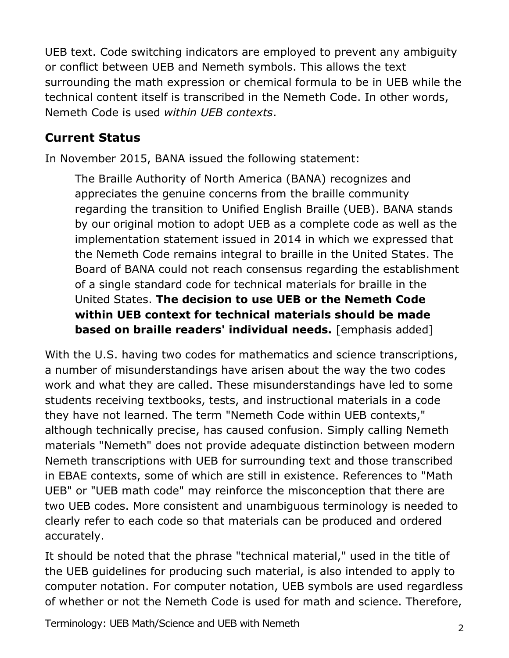UEB text. Code switching indicators are employed to prevent any ambiguity or conflict between UEB and Nemeth symbols. This allows the text surrounding the math expression or chemical formula to be in UEB while the technical content itself is transcribed in the Nemeth Code. In other words, Nemeth Code is used *within UEB contexts*.

## **Current Status**

In November 2015, BANA issued the following statement:

The Braille Authority of North America (BANA) recognizes and appreciates the genuine concerns from the braille community regarding the transition to Unified English Braille (UEB). BANA stands by our original motion to adopt UEB as a complete code as well as the implementation statement issued in 2014 in which we expressed that the Nemeth Code remains integral to braille in the United States. The Board of BANA could not reach consensus regarding the establishment of a single standard code for technical materials for braille in the United States. **The decision to use UEB or the Nemeth Code within UEB context for technical materials should be made based on braille readers' individual needs.** [emphasis added]

With the U.S. having two codes for mathematics and science transcriptions, a number of misunderstandings have arisen about the way the two codes work and what they are called. These misunderstandings have led to some students receiving textbooks, tests, and instructional materials in a code they have not learned. The term "Nemeth Code within UEB contexts," although technically precise, has caused confusion. Simply calling Nemeth materials "Nemeth" does not provide adequate distinction between modern Nemeth transcriptions with UEB for surrounding text and those transcribed in EBAE contexts, some of which are still in existence. References to "Math UEB" or "UEB math code" may reinforce the misconception that there are two UEB codes. More consistent and unambiguous terminology is needed to clearly refer to each code so that materials can be produced and ordered accurately.

It should be noted that the phrase "technical material," used in the title of the UEB guidelines for producing such material, is also intended to apply to computer notation. For computer notation, UEB symbols are used regardless of whether or not the Nemeth Code is used for math and science. Therefore,